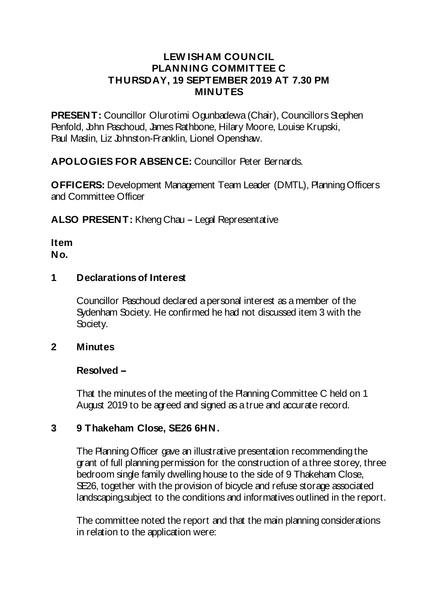#### **LEW ISHAM COUNCIL PLANNING COMMITTEE C THURSDAY, 19 SEPTEMBER 2019 AT 7.30 PM MINUTES**

**PRESENT:** Councillor Olurotimi Ogunbadewa (Chair), Councillors Stephen Penfold, John Paschoud, James Rathbone, Hilary Moore, Louise Krupski, Paul Maslin, Liz Johnston-Franklin, Lionel Openshaw.

**APOLOGIES FOR ABSENCE:** Councillor Peter Bernards.

**OFFICERS:** Development Management Team Leader (DMTL), Planning Officers and Committee Officer

**ALSO PRESENT:** Kheng Chau - Legal Representative

**Item No.**

### **1 Declarationsof Interest**

Councillor Paschoud declared a personal interest as a member of the Sydenham Society. He confirmed he had not discussed item 3 with the Society.

#### **2 Minutes**

#### **Resolved --**

That the minutes of the meeting of the Planning Committee C held on 1 August 2019 to be agreed and signed as a true and accurate record.

#### **3 9 Thakeham Close, SE26 6HN.**

The Planning Officer gave an illustrative presentation recommending the grant of full planning permission for the construction of a three storey, three bedroom single family dwelling house to the side of 9 Thakeham Close, SE26, together with the provision of bicycle and refuse storage associated landscaping,subject to the conditions and informatives outlined in the report.

The committee noted the report and that the main planning considerations in relation to the application were: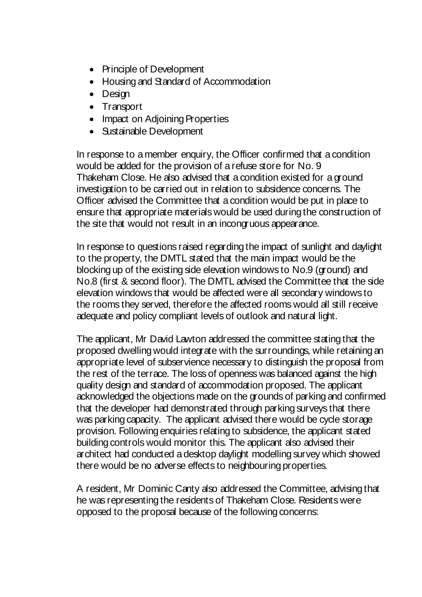- Principle of Development
- Housing and Standard of Accommodation
- Design
- Transport
- Impact on Adjoining Properties
- Sustainable Development

In response to a member enquiry, the Officer confirmed that a condition would be added for the provision of a refuse store for No. 9 Thakeham Close. He also advised that a condition existed for a ground investigation to be carried out in relation to subsidence concerns. The Officer advised the Committee that a condition would be put in place to ensure that appropriate materials would be used during the construction of the site that would not result in an incongruous appearance.

In response to questions raised regarding the impact of sunlight and daylight to the property, the DMTL stated that the main impact would be the blocking up of the existing side elevation windows to No.9 (ground) and No.8 (first & second floor). The DMTL advised the Committee that the side elevation windows that would be affected were all secondary windows to the rooms they served, therefore the affected rooms would all still receive adequate and policy compliant levels of outlook and natural light.

The applicant, Mr David Lawton addressed the committee stating that the proposed dwelling would integrate with the surroundings, while retaining an appropriate level of subservience necessary to distinguish the proposal from the rest of the terrace. The loss of openness was balanced against the high quality design and standard of accommodation proposed. The applicant acknowledged the objections made on the grounds of parking and confirmed that the developer had demonstrated through parking surveys that there was parking capacity. The applicant advised there would be cycle storage provision. Following enquiries relating to subsidence, the applicant stated building controls would monitor this. The applicant also advised their architect had conducted a desktop daylight modelling survey which showed there would be no adverse effects to neighbouring properties.

A resident, Mr Dominic Canty also addressed the Committee, advising that he was representing the residents of Thakeham Close. Residents were opposed to the proposal because of the following concerns: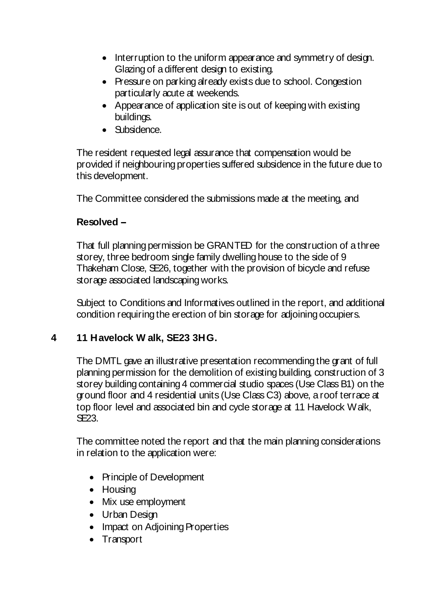- Interruption to the uniform appearance and symmetry of design. Glazing of a different design to existing.
- Pressure on parking already exists due to school. Congestion particularly acute at weekends.
- Appearance of application site is out of keeping with existing buildings.
- Subsidence.

The resident requested legal assurance that compensation would be provided if neighbouring properties suffered subsidence in the future due to this development.

The Committee considered the submissions made at the meeting, and

#### **Resolved --**

That full planning permission be GRANTED for the construction of a three storey, three bedroom single family dwelling house to the side of 9 Thakeham Close, SE26, together with the provision of bicycle and refuse storage associated landscaping works.

Subject to Conditions and Informatives outlined in the report, and additional condition requiring the erection of bin storage for adjoining occupiers.

#### **4 11 Havelock W alk, SE23 3HG.**

The DMTL gave an illustrative presentation recommending the grant of full planning permission for the demolition of existing building, construction of 3 storey building containing 4 commercial studio spaces (Use Class B1) on the ground floor and 4 residential units (Use Class C3) above, a roof terrace at top floor level and associated bin and cycle storage at 11 Havelock Walk, SE23.

The committee noted the report and that the main planning considerations in relation to the application were:

- Principle of Development
- Housing
- Mix use employment
- Urban Design
- Impact on Adjoining Properties
- Transport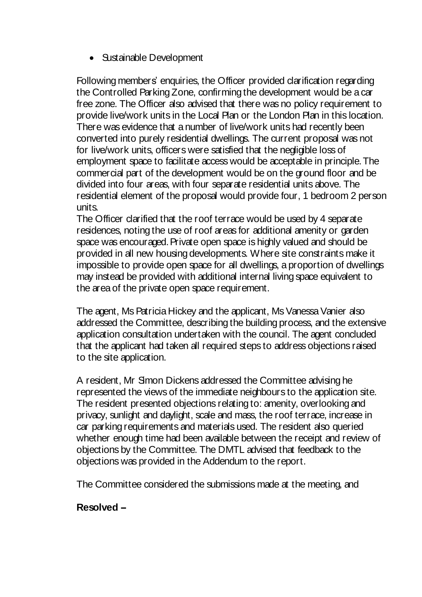• Sustainable Development

Following members' enquiries, the Officer provided clarification regarding the Controlled Parking Zone, confirming the development would be a car free zone. The Officer also advised that there was no policy requirement to provide live/work units in the Local Plan or the London Plan in this location. There was evidence that a number of live/work units had recently been converted into purely residential dwellings. The current proposal was not for live/work units, officers were satisfied that the negligible loss of employment space to facilitate access would be acceptable in principle.The commercial part of the development would be on the ground floor and be divided into four areas, with four separate residential units above. The residential element of the proposal would provide four, 1 bedroom 2 person units.

The Officer clarified that the roof terrace would be used by 4 separate residences, noting the use of roof areas for additional amenity or garden space was encouraged. Private open space is highly valued and should be provided in all new housing developments. Where site constraints make it impossible to provide open space for all dwellings, a proportion of dwellings may instead be provided with additional internal living space equivalent to the area of the private open space requirement.

The agent, Ms Patricia Hickey and the applicant, Ms Vanessa Vanier also addressed the Committee, describing the building process, and the extensive application consultation undertaken with the council. The agent concluded that the applicant had taken all required steps to address objections raised to the site application.

A resident, Mr Simon Dickens addressed the Committee advising he represented the views of the immediate neighbours to the application site. The resident presented objections relating to: amenity, overlooking and privacy, sunlight and daylight, scale and mass, the roof terrace, increase in car parking requirements and materials used. The resident also queried whether enough time had been available between the receipt and review of objections by the Committee. The DMTL advised that feedback to the objections was provided in the Addendum to the report.

The Committee considered the submissions made at the meeting, and

## **Resolved --**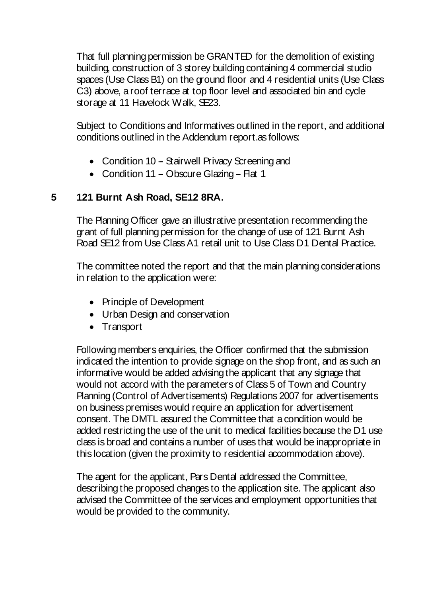That full planning permission be GRANTED for the demolition of existing building, construction of 3 storey building containing 4 commercial studio spaces (Use Class B1) on the ground floor and 4 residential units (Use Class C3) above, a roof terrace at top floor level and associated bin and cycle storage at 11 Havelock Walk, SE23.

Subject to Conditions and Informatives outlined in the report, and additional conditions outlined in the Addendum report.as follows:

- Condition 10 Stairwell Privacy Screening and
- Condition 11 Obscure Glazing Flat 1

# **5 121 Burnt Ash Road, SE12 8RA.**

The Planning Officer gave an illustrative presentation recommending the grant of full planning permission for the change of use of 121 Burnt Ash Road SE12 from Use Class A1 retail unit to Use Class D1 Dental Practice.

The committee noted the report and that the main planning considerations in relation to the application were:

- Principle of Development
- Urban Design and conservation
- Transport

Following members enquiries, the Officer confirmed that the submission indicated the intention to provide signage on the shop front, and as such an informative would be added advising the applicant that any signage that would not accord with the parameters of Class 5 of Town and Country Planning (Control of Advertisements) Regulations 2007 for advertisements on business premises would require an application for advertisement consent. The DMTL assured the Committee that a condition would be added restricting the use of the unit to medical facilities because the D1 use class is broad and contains a number of uses that would be inappropriate in this location (given the proximity to residential accommodation above).

The agent for the applicant, Pars Dental addressed the Committee, describing the proposed changes to the application site. The applicant also advised the Committee of the services and employment opportunities that would be provided to the community.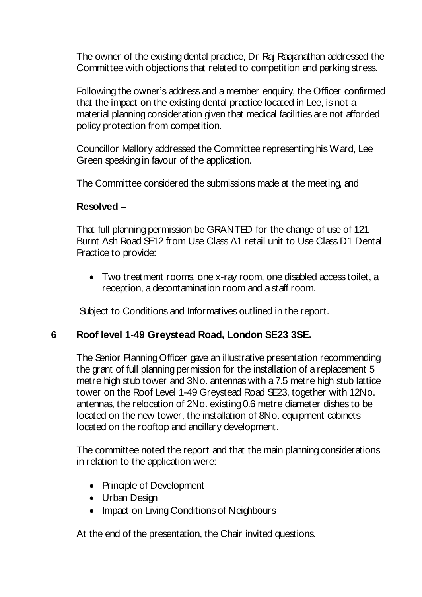The owner of the existing dental practice, Dr Raj Raajanathan addressed the Committee with objections that related to competition and parking stress.

Following the owner's address and a member enquiry, the Officer confirmed that the impact on the existing dental practice located in Lee, is not a material planning consideration given that medical facilities are not afforded policy protection from competition.

Councillor Mallory addressed the Committee representing his Ward, Lee Green speaking in favour of the application.

The Committee considered the submissions made at the meeting, and

#### **Resolved --**

That full planning permission be GRANTED for the change of use of 121 Burnt Ash Road SE12 from Use Class A1 retail unit to Use Class D1 Dental Practice to provide:

 Two treatment rooms, one x-ray room, one disabled access toilet, a reception, a decontamination room and a staff room.

Subject to Conditions and Informatives outlined in the report.

## **6 Roof level 1-49 Greystead Road, London SE23 3SE.**

The Senior Planning Officer gave an illustrative presentation recommending the grant of full planning permission for the installation of a replacement 5 metre high stub tower and 3No. antennas with a 7.5 metre high stub lattice tower on the Roof Level 1-49 Greystead Road SE23, together with 12No. antennas, the relocation of 2No. existing 0.6 metre diameter dishes to be located on the new tower, the installation of 8No. equipment cabinets located on the rooftop and ancillary development.

The committee noted the report and that the main planning considerations in relation to the application were:

- Principle of Development
- Urban Design
- Impact on Living Conditions of Neighbours

At the end of the presentation, the Chair invited questions.